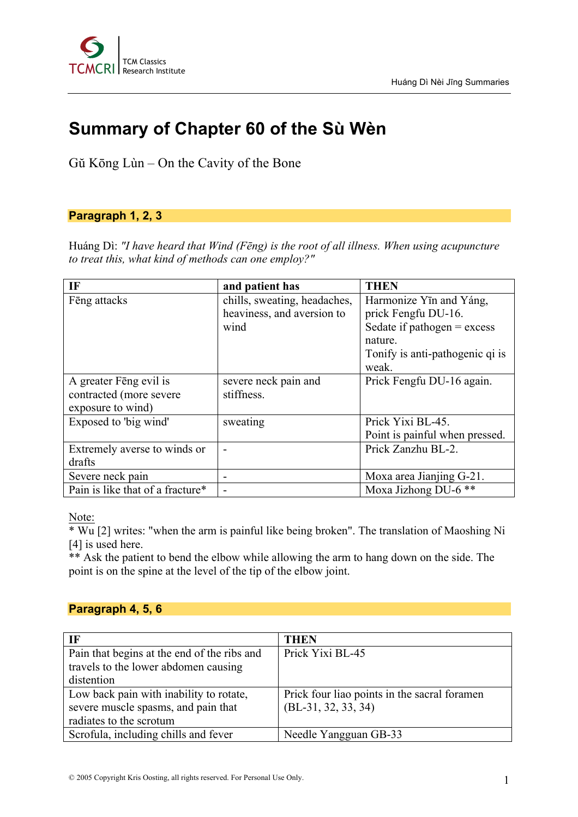

# **Summary of Chapter 60 of the Sù Wèn**

Gŭ Kōng Lùn – On the Cavity of the Bone

## **Paragraph 1, 2, 3**

Huáng Dì: *"I have heard that Wind (Fēng) is the root of all illness. When using acupuncture to treat this, what kind of methods can one employ?"*

| IF                               | and patient has              | <b>THEN</b>                     |
|----------------------------------|------------------------------|---------------------------------|
| Fēng attacks                     | chills, sweating, headaches, | Harmonize Yīn and Yáng,         |
|                                  | heaviness, and aversion to   | prick Fengfu DU-16.             |
|                                  | wind                         | Sedate if pathogen $=$ excess   |
|                                  |                              | nature.                         |
|                                  |                              | Tonify is anti-pathogenic qi is |
|                                  |                              | weak.                           |
| A greater Feng evil is           | severe neck pain and         | Prick Fengfu DU-16 again.       |
| contracted (more severe          | stiffness.                   |                                 |
| exposure to wind)                |                              |                                 |
| Exposed to 'big wind'            | sweating                     | Prick Yixi BL-45.               |
|                                  |                              | Point is painful when pressed.  |
| Extremely averse to winds or     |                              | Prick Zanzhu BL-2.              |
| drafts                           |                              |                                 |
| Severe neck pain                 |                              | Moxa area Jianjing G-21.        |
| Pain is like that of a fracture* |                              | Moxa Jizhong DU-6 <sup>**</sup> |

Note:

\* Wu [2] writes: "when the arm is painful like being broken". The translation of Maoshing Ni [4] is used here.

\*\* Ask the patient to bend the elbow while allowing the arm to hang down on the side. The point is on the spine at the level of the tip of the elbow joint.

#### **Paragraph 4, 5, 6**

| IF                                          | <b>THEN</b>                                  |
|---------------------------------------------|----------------------------------------------|
| Pain that begins at the end of the ribs and | Prick Yixi BL-45                             |
| travels to the lower abdomen causing        |                                              |
| distention                                  |                                              |
| Low back pain with inability to rotate,     | Prick four liao points in the sacral foramen |
| severe muscle spasms, and pain that         | $(BL-31, 32, 33, 34)$                        |
| radiates to the scrotum                     |                                              |
| Scrofula, including chills and fever        | Needle Yangguan GB-33                        |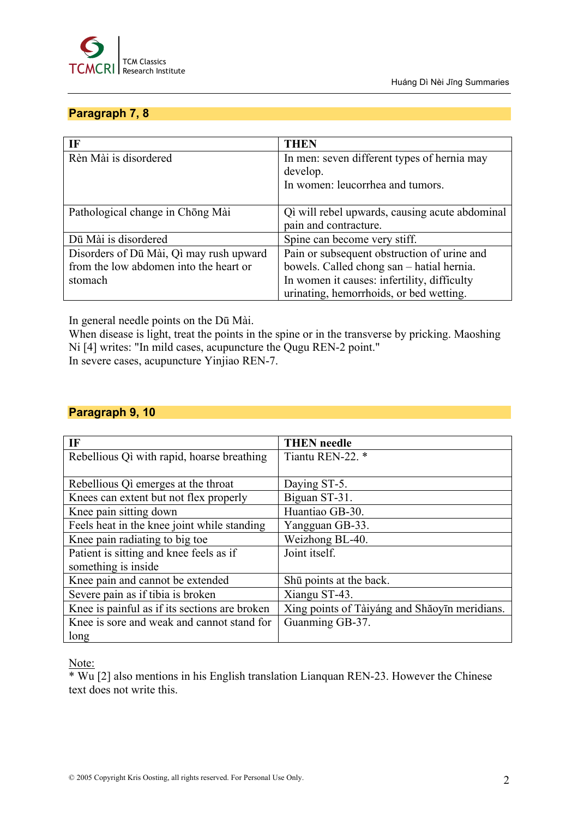

## **Paragraph 7, 8**

| TF                                      | <b>THEN</b>                                    |
|-----------------------------------------|------------------------------------------------|
| Rèn Mài is disordered                   | In men: seven different types of hernia may    |
|                                         | develop.                                       |
|                                         | In women: leucorrhea and tumors.               |
|                                         |                                                |
| Pathological change in Chong Mài        | Qi will rebel upwards, causing acute abdominal |
|                                         | pain and contracture.                          |
| Dū Mài is disordered                    | Spine can become very stiff.                   |
| Disorders of Dū Mài, Qì may rush upward | Pain or subsequent obstruction of urine and    |
| from the low abdomen into the heart or  | bowels. Called chong san - hatial hernia.      |
| stomach                                 | In women it causes: infertility, difficulty    |
|                                         | urinating, hemorrhoids, or bed wetting.        |

In general needle points on the Dū Mài.

When disease is light, treat the points in the spine or in the transverse by pricking. Maoshing Ni [4] writes: "In mild cases, acupuncture the Qugu REN-2 point." In severe cases, acupuncture Yinjiao REN-7.

# **Paragraph 9, 10**

| <b>IF</b>                                     | <b>THEN</b> needle                            |  |
|-----------------------------------------------|-----------------------------------------------|--|
| Rebellious Qi with rapid, hoarse breathing    | Tiantu REN-22. *                              |  |
|                                               |                                               |  |
| Rebellious Q emerges at the throat            | Daying ST-5.                                  |  |
| Knees can extent but not flex properly        | Biguan ST-31.                                 |  |
| Knee pain sitting down                        | Huantiao GB-30.                               |  |
| Feels heat in the knee joint while standing   | Yangguan GB-33.                               |  |
| Knee pain radiating to big toe                | Weizhong BL-40.                               |  |
| Patient is sitting and knee feels as if       | Joint itself.                                 |  |
| something is inside                           |                                               |  |
| Knee pain and cannot be extended              | Shū points at the back.                       |  |
| Severe pain as if tibia is broken             | Xiangu ST-43.                                 |  |
| Knee is painful as if its sections are broken | Xing points of Tàiyáng and Shǎoyīn meridians. |  |
| Knee is sore and weak and cannot stand for    | Guanming GB-37.                               |  |
| long                                          |                                               |  |

Note:

\* Wu [2] also mentions in his English translation Lianquan REN-23. However the Chinese text does not write this.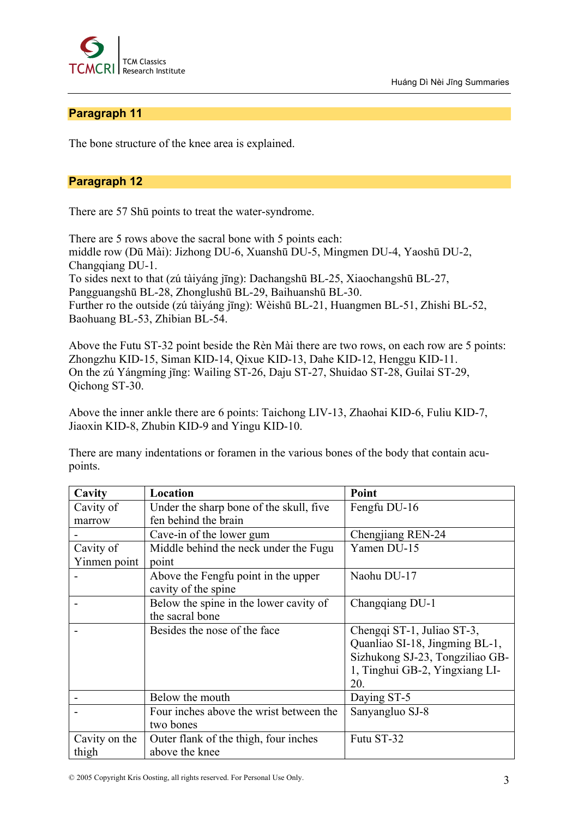Huáng Dì Nèi Jīng Summaries



## **Paragraph 11**

The bone structure of the knee area is explained.

## **Paragraph 12**

There are 57 Shū points to treat the water-syndrome.

There are 5 rows above the sacral bone with 5 points each: middle row (Dū Mài): Jizhong DU-6, Xuanshū DU-5, Mingmen DU-4, Yaoshū DU-2, Changqiang DU-1. To sides next to that (zú tàiyáng jīng): Dachangshū BL-25, Xiaochangshū BL-27, Pangguangshū BL-28, Zhonglushū BL-29, Baihuanshū BL-30. Further ro the outside (zú tàiyáng jīng): Wèishū BL-21, Huangmen BL-51, Zhishi BL-52, Baohuang BL-53, Zhibian BL-54.

Above the Futu ST-32 point beside the Rèn Mài there are two rows, on each row are 5 points: Zhongzhu KID-15, Siman KID-14, Qixue KID-13, Dahe KID-12, Henggu KID-11. On the zú Yángmíng jīng: Wailing ST-26, Daju ST-27, Shuidao ST-28, Guilai ST-29, Qichong ST-30.

Above the inner ankle there are 6 points: Taichong LIV-13, Zhaohai KID-6, Fuliu KID-7, Jiaoxin KID-8, Zhubin KID-9 and Yingu KID-10.

There are many indentations or foramen in the various bones of the body that contain acupoints.

| Cavity        | Location                                | Point                           |
|---------------|-----------------------------------------|---------------------------------|
| Cavity of     | Under the sharp bone of the skull, five | Fengfu DU-16                    |
| marrow        | fen behind the brain                    |                                 |
|               | Cave-in of the lower gum                | Chengjiang REN-24               |
| Cavity of     | Middle behind the neck under the Fugu   | Yamen DU-15                     |
| Yinmen point  | point                                   |                                 |
|               | Above the Fengfu point in the upper     | Naohu DU-17                     |
|               | cavity of the spine                     |                                 |
|               | Below the spine in the lower cavity of  | Changqiang DU-1                 |
|               | the sacral bone                         |                                 |
|               | Besides the nose of the face            | Chengqi ST-1, Juliao ST-3,      |
|               |                                         | Quanliao SI-18, Jingming BL-1,  |
|               |                                         | Sizhukong SJ-23, Tongziliao GB- |
|               |                                         | 1, Tinghui GB-2, Yingxiang LI-  |
|               |                                         | 20.                             |
|               | Below the mouth                         | Daying ST-5                     |
|               | Four inches above the wrist between the | Sanyangluo SJ-8                 |
|               | two bones                               |                                 |
| Cavity on the | Outer flank of the thigh, four inches   | Futu ST-32                      |
| thigh         | above the knee                          |                                 |